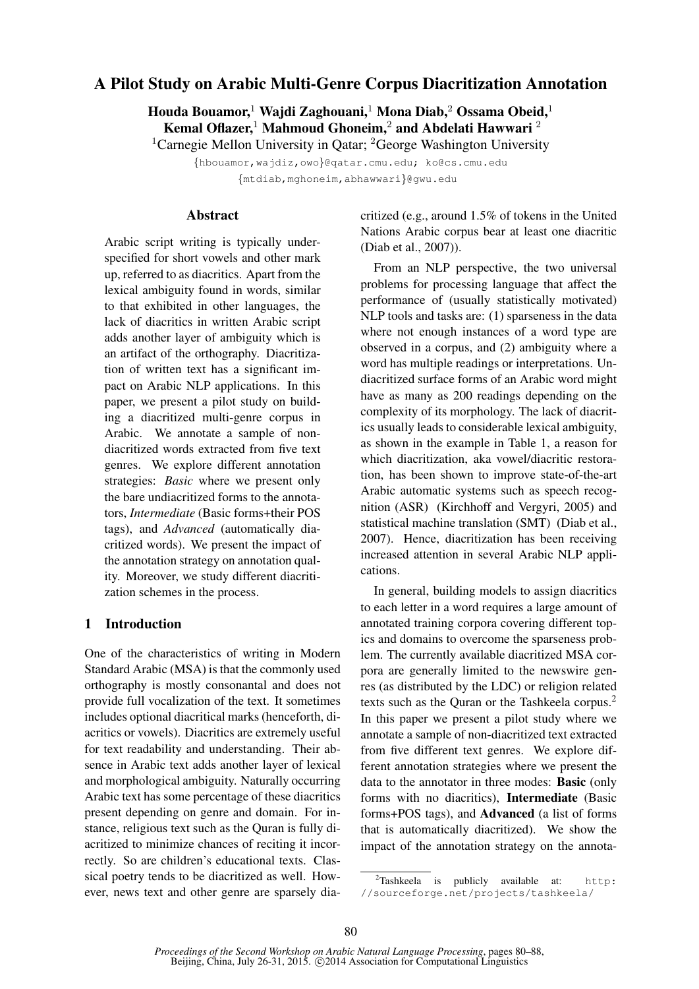# A Pilot Study on Arabic Multi-Genre Corpus Diacritization Annotation

Houda Bouamor,<sup>1</sup> Wajdi Zaghouani,<sup>1</sup> Mona Diab,<sup>2</sup> Ossama Obeid,<sup>1</sup> Kemal Oflazer,<sup>1</sup> Mahmoud Ghoneim,<sup>2</sup> and Abdelati Hawwari<sup>2</sup>

<sup>1</sup>Carnegie Mellon University in Qatar; <sup>2</sup>George Washington University

{hbouamor,wajdiz,owo}@qatar.cmu.edu; ko@cs.cmu.edu

{mtdiab,mghoneim,abhawwari}@gwu.edu

#### Abstract

Arabic script writing is typically underspecified for short vowels and other mark up, referred to as diacritics. Apart from the lexical ambiguity found in words, similar to that exhibited in other languages, the lack of diacritics in written Arabic script adds another layer of ambiguity which is an artifact of the orthography. Diacritization of written text has a significant impact on Arabic NLP applications. In this paper, we present a pilot study on building a diacritized multi-genre corpus in Arabic. We annotate a sample of nondiacritized words extracted from five text genres. We explore different annotation strategies: *Basic* where we present only the bare undiacritized forms to the annotators, *Intermediate* (Basic forms+their POS tags), and *Advanced* (automatically diacritized words). We present the impact of the annotation strategy on annotation quality. Moreover, we study different diacritization schemes in the process.

#### 1 Introduction

One of the characteristics of writing in Modern Standard Arabic (MSA) is that the commonly used orthography is mostly consonantal and does not provide full vocalization of the text. It sometimes includes optional diacritical marks (henceforth, diacritics or vowels). Diacritics are extremely useful for text readability and understanding. Their absence in Arabic text adds another layer of lexical and morphological ambiguity. Naturally occurring Arabic text has some percentage of these diacritics present depending on genre and domain. For instance, religious text such as the Quran is fully diacritized to minimize chances of reciting it incorrectly. So are children's educational texts. Classical poetry tends to be diacritized as well. However, news text and other genre are sparsely diacritized (e.g., around 1.5% of tokens in the United Nations Arabic corpus bear at least one diacritic (Diab et al., 2007)).

From an NLP perspective, the two universal problems for processing language that affect the performance of (usually statistically motivated) NLP tools and tasks are: (1) sparseness in the data where not enough instances of a word type are observed in a corpus, and (2) ambiguity where a word has multiple readings or interpretations. Undiacritized surface forms of an Arabic word might have as many as 200 readings depending on the complexity of its morphology. The lack of diacritics usually leads to considerable lexical ambiguity, as shown in the example in Table 1, a reason for which diacritization, aka vowel/diacritic restoration, has been shown to improve state-of-the-art Arabic automatic systems such as speech recognition (ASR) (Kirchhoff and Vergyri, 2005) and statistical machine translation (SMT) (Diab et al., 2007). Hence, diacritization has been receiving increased attention in several Arabic NLP applications.

In general, building models to assign diacritics to each letter in a word requires a large amount of annotated training corpora covering different topics and domains to overcome the sparseness problem. The currently available diacritized MSA corpora are generally limited to the newswire genres (as distributed by the LDC) or religion related texts such as the Quran or the Tashkeela corpus.<sup>2</sup> In this paper we present a pilot study where we annotate a sample of non-diacritized text extracted from five different text genres. We explore different annotation strategies where we present the data to the annotator in three modes: Basic (only forms with no diacritics), Intermediate (Basic forms+POS tags), and Advanced (a list of forms that is automatically diacritized). We show the impact of the annotation strategy on the annota-

 $2$ Tashkeela is publicly available at: http: //sourceforge.net/projects/tashkeela/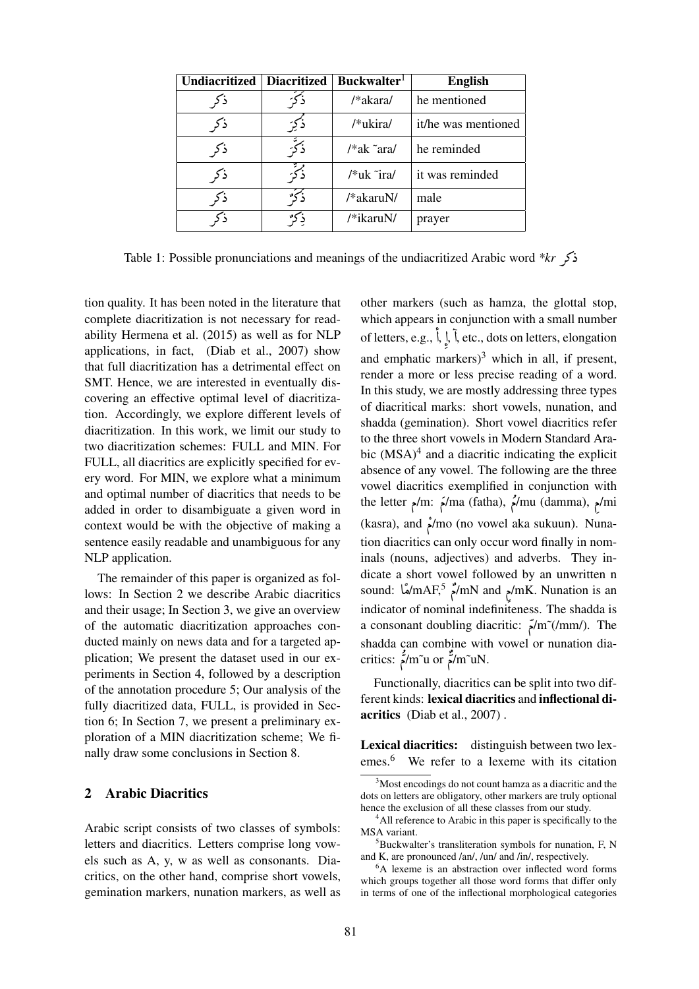| <b>Undiacritized</b> | <b>Diacritized</b> | Buckwalter <sup>1</sup> | <b>English</b>      |
|----------------------|--------------------|-------------------------|---------------------|
| ذكم                  |                    | /*akara/                | he mentioned        |
| ذكم                  | ذكئ                | /*ukira/                | it/he was mentioned |
| ذكر                  |                    | $/*ak$ ara/             | he reminded         |
| ذكه                  | ذكة                | /*uk ~ira/              | it was reminded     |
| ذكم                  |                    | /*akaruN/               | male                |
|                      |                    | /*ikaruN/               | prayer              |

the 1: Possible pronunciations and meanings of the undiacritized Arabic word *\*kr* 

tion quality. It has been noted in the literature that complete diacritization is not necessary for readability Hermena et al. (2015) as well as for NLP applications, in fact, (Diab et al., 2007) show that full diacritization has a detrimental effect on SMT. Hence, we are interested in eventually discovering an effective optimal level of diacritization. Accordingly, we explore different levels of diacritization. In this work, we limit our study to two diacritization schemes: FULL and MIN. For FULL, all diacritics are explicitly specified for every word. For MIN, we explore what a minimum and optimal number of diacritics that needs to be added in order to disambiguate a given word in context would be with the objective of making a sentence easily readable and unambiguous for any NLP application.

The remainder of this paper is organized as follows: In Section 2 we describe Arabic diacritics and their usage; In Section 3, we give an overview of the automatic diacritization approaches conducted mainly on news data and for a targeted application; We present the dataset used in our experiments in Section 4, followed by a description of the annotation procedure 5; Our analysis of the fully diacritized data, FULL, is provided in Section 6; In Section 7, we present a preliminary exploration of a MIN diacritization scheme; We finally draw some conclusions in Section 8.

#### 2 Arabic Diacritics

Arabic script consists of two classes of symbols: letters and diacritics. Letters comprise long vowels such as A, y, w as well as consonants. Diacritics, on the other hand, comprise short vowels, gemination markers, nunation markers, as well as

other markers (such as hamza, the glottal stop, which appears in conjunction with a small number of letters, e.g.,  $\int$ ,  $\int$ أٌ ا<br>ع .<br>.<br>. l, etc., dots on letters, elongation and emphatic markers $)^3$  which in all, if present, render a more or less precise reading of a word. In this study, we are mostly addressing three types of diacritical marks: short vowels, nunation, and shadda (gemination). Short vowel diacritics refer to the three short vowels in Modern Standard Arabic  $(MSA)^4$  and a diacritic indicating the explicit absence of any vowel. The following are the three vowel diacritics exemplified in conjunction with the letter  $\gamma$ m:  $\gamma$ ma (fatha),  $\gamma$ /mu (damma),  $\gamma$ mi ֧֧ׅ֚֞֜֜֓ (kasra), and  $\lim_{n \to \infty}$  (no vowel aka sukuun). Nunation diacritics can only occur word finally in nominals (nouns, adjectives) and adverbs. They indicate a short vowel followed by an unwritten n sound: مُسْلِمُ mAF,5  $\frac{2}{3}$ /mN and  $\frac{1}{2}$ /mK. Nunation is an j .<br>م آ<br>1 indicator of nominal indefiniteness. The shadda is a consonant doubling diacritic: Ð/m˜(/mm/). The shadda can combine with vowel or nunation diacritics:  $\frac{1}{2}$ /m~u or  $\frac{1}{2}$ /m~uN.  $\frac{1}{2}$ ر<br>م リジー ن<br>م

Functionally, diacritics can be split into two different kinds: lexical diacritics and inflectional diacritics (Diab et al., 2007) .

Lexical diacritics: distinguish between two lexemes.<sup>6</sup> We refer to a lexeme with its citation

<sup>&</sup>lt;sup>3</sup>Most encodings do not count hamza as a diacritic and the dots on letters are obligatory, other markers are truly optional hence the exclusion of all these classes from our study.

<sup>&</sup>lt;sup>4</sup>All reference to Arabic in this paper is specifically to the MSA variant.

<sup>5</sup>Buckwalter's transliteration symbols for nunation, F, N and K, are pronounced /an/, /un/ and /in/, respectively.

<sup>&</sup>lt;sup>6</sup>A lexeme is an abstraction over inflected word forms which groups together all those word forms that differ only in terms of one of the inflectional morphological categories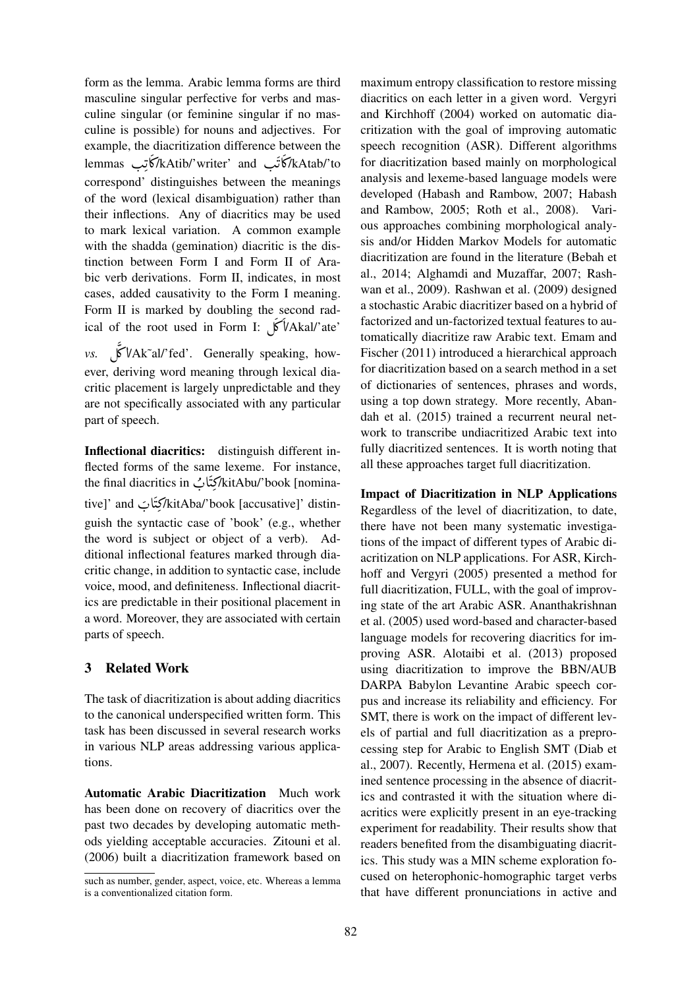form as the lemma. Arabic lemma forms are third masculine singular perfective for verbs and masculine singular (or feminine singular if no masculine is possible) for nouns and adjectives. For example, the diacritization difference between the lemmas آتب kAtib/'writer' and کاتبانات lemmas<br>ایست ایسان ایسان .<br>با ز<br>ب ر<br>ِ A ć .<br>ت  $\ddot{\ddot{\cdot}}$ ・・ correspond' distinguishes between the meanings of the word (lexical disambiguation) rather than their inflections. Any of diacritics may be used to mark lexical variation. A common example with the shadda (gemination) diacritic is the distinction between Form I and Form II of Arabic verb derivations. Form II, indicates, in most cases, added causativity to the Form I meaning. Form II is marked by doubling the second radical of the root used in Form I:  $\sqrt{\frac{V}{\text{Akal}}}}$  ate' ć اد<br>آ *vs.* É ¿ @/Ak˜al/'fed'. Generally speaking, howí ء<br>آ ever, deriving word meaning through lexical diacritic placement is largely unpredictable and they are not specifically associated with any particular

Inflectional diacritics: distinguish different inflected forms of the same lexeme. For instance, the final diacritics in كِتَابُ /kitAbu/'book [nomina-. A :<br>:  $\ddot{\ddot{\ }}$ tive]' and  $\frac{1}{2}$ kitAba/'book [accusative]' distin-. A  $\ddot{\mathbf{r}}$  $\ddot{\ddot{\ }}$ guish the syntactic case of 'book' (e.g., whether the word is subject or object of a verb). Additional inflectional features marked through diacritic change, in addition to syntactic case, include voice, mood, and definiteness. Inflectional diacritics are predictable in their positional placement in a word. Moreover, they are associated with certain parts of speech.

## 3 Related Work

part of speech.

The task of diacritization is about adding diacritics to the canonical underspecified written form. This task has been discussed in several research works in various NLP areas addressing various applications.

Automatic Arabic Diacritization Much work has been done on recovery of diacritics over the past two decades by developing automatic methods yielding acceptable accuracies. Zitouni et al. (2006) built a diacritization framework based on

maximum entropy classification to restore missing diacritics on each letter in a given word. Vergyri and Kirchhoff (2004) worked on automatic diacritization with the goal of improving automatic speech recognition (ASR). Different algorithms for diacritization based mainly on morphological analysis and lexeme-based language models were developed (Habash and Rambow, 2007; Habash and Rambow, 2005; Roth et al., 2008). Various approaches combining morphological analysis and/or Hidden Markov Models for automatic diacritization are found in the literature (Bebah et al., 2014; Alghamdi and Muzaffar, 2007; Rashwan et al., 2009). Rashwan et al. (2009) designed a stochastic Arabic diacritizer based on a hybrid of factorized and un-factorized textual features to automatically diacritize raw Arabic text. Emam and Fischer (2011) introduced a hierarchical approach for diacritization based on a search method in a set of dictionaries of sentences, phrases and words, using a top down strategy. More recently, Abandah et al. (2015) trained a recurrent neural network to transcribe undiacritized Arabic text into fully diacritized sentences. It is worth noting that all these approaches target full diacritization.

Impact of Diacritization in NLP Applications Regardless of the level of diacritization, to date, there have not been many systematic investigations of the impact of different types of Arabic diacritization on NLP applications. For ASR, Kirchhoff and Vergyri (2005) presented a method for full diacritization, FULL, with the goal of improving state of the art Arabic ASR. Ananthakrishnan et al. (2005) used word-based and character-based language models for recovering diacritics for improving ASR. Alotaibi et al. (2013) proposed using diacritization to improve the BBN/AUB DARPA Babylon Levantine Arabic speech corpus and increase its reliability and efficiency. For SMT, there is work on the impact of different levels of partial and full diacritization as a preprocessing step for Arabic to English SMT (Diab et al., 2007). Recently, Hermena et al. (2015) examined sentence processing in the absence of diacritics and contrasted it with the situation where diacritics were explicitly present in an eye-tracking experiment for readability. Their results show that readers benefited from the disambiguating diacritics. This study was a MIN scheme exploration focused on heterophonic-homographic target verbs that have different pronunciations in active and

such as number, gender, aspect, voice, etc. Whereas a lemma is a conventionalized citation form.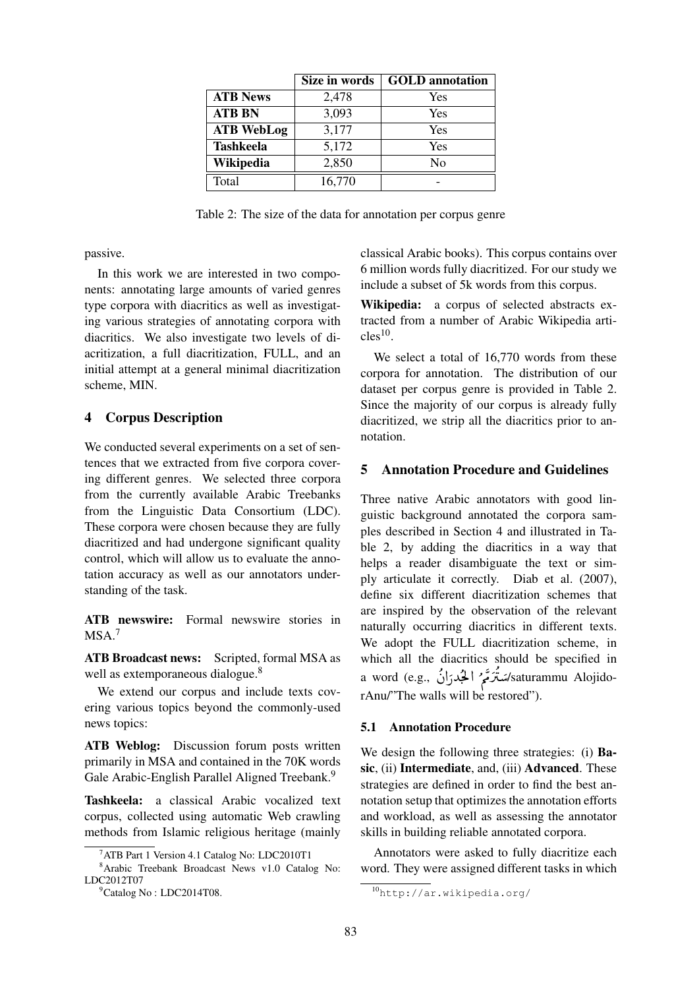|                   | Size in words | <b>GOLD</b> annotation |
|-------------------|---------------|------------------------|
| <b>ATB News</b>   | 2,478         | Yes                    |
| <b>ATB BN</b>     | 3,093         | Yes                    |
| <b>ATB WebLog</b> | 3,177         | Yes                    |
| <b>Tashkeela</b>  | 5,172         | Yes                    |
| Wikipedia         | 2,850         | N <sub>0</sub>         |
| Total             | 16,770        |                        |

Table 2: The size of the data for annotation per corpus genre

passive.

In this work we are interested in two components: annotating large amounts of varied genres type corpora with diacritics as well as investigating various strategies of annotating corpora with diacritics. We also investigate two levels of diacritization, a full diacritization, FULL, and an initial attempt at a general minimal diacritization scheme, MIN.

## 4 Corpus Description

We conducted several experiments on a set of sentences that we extracted from five corpora covering different genres. We selected three corpora from the currently available Arabic Treebanks from the Linguistic Data Consortium (LDC). These corpora were chosen because they are fully diacritized and had undergone significant quality control, which will allow us to evaluate the annotation accuracy as well as our annotators understanding of the task.

ATB newswire: Formal newswire stories in  $MSA.<sup>7</sup>$ 

ATB Broadcast news: Scripted, formal MSA as well as extemporaneous dialogue.<sup>8</sup>

We extend our corpus and include texts covering various topics beyond the commonly-used news topics:

ATB Weblog: Discussion forum posts written primarily in MSA and contained in the 70K words Gale Arabic-English Parallel Aligned Treebank.<sup>9</sup>

Tashkeela: a classical Arabic vocalized text corpus, collected using automatic Web crawling methods from Islamic religious heritage (mainly

classical Arabic books). This corpus contains over 6 million words fully diacritized. For our study we include a subset of 5k words from this corpus.

Wikipedia: a corpus of selected abstracts extracted from a number of Arabic Wikipedia arti $cles^{10}$ .

We select a total of 16,770 words from these corpora for annotation. The distribution of our dataset per corpus genre is provided in Table 2. Since the majority of our corpus is already fully diacritized, we strip all the diacritics prior to annotation.

#### 5 Annotation Procedure and Guidelines

Three native Arabic annotators with good linguistic background annotated the corpora samples described in Section 4 and illustrated in Table 2, by adding the diacritics in a way that helps a reader disambiguate the text or simply articulate it correctly. Diab et al. (2007), define six different diacritization schemes that are inspired by the observation of the relevant naturally occurring diacritics in different texts. We adopt the FULL diacritization scheme, in which all the diacritics should be specified in a word (e.g., أَلْجُدرَانُ ) a word (e.g., أَكْبُدرَانُ ) a word (e.g., مَصْ  $\ddot{\cdot}$  $\ddot{\cdot}$ ؚ m . م<br>ا  $\frac{1}{2}$ ء<br>م こうさん ミバ ñ rAnu/"The walls will be restored").

#### 5.1 Annotation Procedure

We design the following three strategies: (i) **Ba**sic, (ii) Intermediate, and, (iii) Advanced. These strategies are defined in order to find the best annotation setup that optimizes the annotation efforts and workload, as well as assessing the annotator skills in building reliable annotated corpora.

Annotators were asked to fully diacritize each word. They were assigned different tasks in which

<sup>&</sup>lt;sup>7</sup>ATB Part 1 Version 4.1 Catalog No: LDC2010T1

<sup>8</sup>Arabic Treebank Broadcast News v1.0 Catalog No: LDC2012T07

<sup>9</sup>Catalog No : LDC2014T08.

<sup>10</sup>http://ar.wikipedia.org/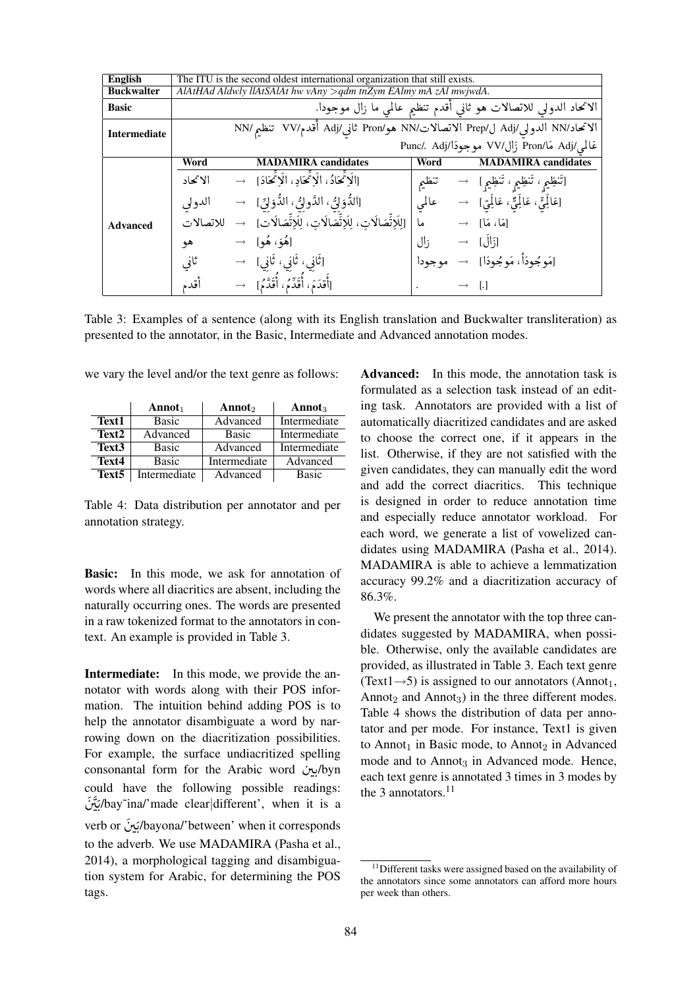| <b>English</b>      |                                                |                                                                            | The ITU is the second oldest international organization that still exists. |                   |  |                                                                  |  |  |  |
|---------------------|------------------------------------------------|----------------------------------------------------------------------------|----------------------------------------------------------------------------|-------------------|--|------------------------------------------------------------------|--|--|--|
| <b>Buckwalter</b>   |                                                |                                                                            | AlAtHAd Aldwly llAtSAlAt hw vAny $>$ qdm tnZym EAlmy mA zAl mwjwdA.        |                   |  |                                                                  |  |  |  |
| <b>Basic</b>        |                                                |                                                                            |                                                                            |                   |  | الاتحاد الدولي للاتصالات هو ثاني أقدم تنظيم عالمي ما زال موجودا. |  |  |  |
| <b>Intermediate</b> |                                                | الاتحاد/NN الدولي/Adj ل/Prep الاتصالات/NN هو/Pron ثاني/Adj أقدم/VV تنظم/NN |                                                                            |                   |  |                                                                  |  |  |  |
|                     | عَالمي/Adj مَا/Pron زَال/VV موجودَا/Punc/. Adj |                                                                            |                                                                            |                   |  |                                                                  |  |  |  |
|                     | Word                                           |                                                                            | <b>MADAMIRA</b> candidates                                                 | Word              |  | <b>MADAMIRA</b> candidates                                       |  |  |  |
|                     | الاتحاد                                        |                                                                            | [الَا تَمْحَادُ، الَا تَمْحَاد، الَا تَمْحَادَ] →                          |                   |  | [تَنظِيمِ، تَنظِيمِ، تَنظِيمِ]    →      تنظيم                   |  |  |  |
|                     | الدولى                                         |                                                                            | [الدُّوَلِّيُ، الدَّولِّيُ، الدَّوَلِّيِّ]    →                            |                   |  |                                                                  |  |  |  |
| <b>Advanced</b>     | للاتصالات                                      |                                                                            | [للَاتِّصَالَات، لِلَاتِّصَالَاتِ، لِلَاتِّصَالَات] →                      |                   |  | $\rightarrow$ آمَا، مَا $\rightarrow$                            |  |  |  |
|                     | هو                                             |                                                                            | $\rightarrow$ [هُوَ، هُو] $\rightarrow$                                    | $J^{\dagger}$ زال |  | $\rightarrow$ [                                                  |  |  |  |
|                     | ثانی                                           |                                                                            | [ثَانِي، ثَانِي، ثَانِي]   →                                               |                   |  | [مَو جُودَأٌ، مَو جُودَا] → موجودا                               |  |  |  |
|                     | أقدم                                           |                                                                            | [أَقِدَمَ، أُقَدِّمُ، أُقَدَّم]    →                                       |                   |  |                                                                  |  |  |  |

Table 3: Examples of a sentence (along with its English translation and Buckwalter transliteration) as presented to the annotator, in the Basic, Intermediate and Advanced annotation modes.

we vary the level and/or the text genre as follows:

|                   | Annot <sub>1</sub> | Annot <sub>2</sub> | Annot <sub>3</sub> |
|-------------------|--------------------|--------------------|--------------------|
| Text1             | Basic              | Advanced           | Intermediate       |
| Text <sub>2</sub> | Advanced           | <b>Basic</b>       | Intermediate       |
| Text <sub>3</sub> | Basic              | Advanced           | Intermediate       |
| Text4             | Basic              | Intermediate       | Advanced           |
| Text <sub>5</sub> | Intermediate       | Advanced           | <b>Basic</b>       |

Table 4: Data distribution per annotator and per annotation strategy.

**Basic:** In this mode, we ask for annotation of words where all diacritics are absent, including the naturally occurring ones. The words are presented in a raw tokenized format to the annotators in context. An example is provided in Table 3.

**Intermediate:** In this mode, we provide the annotator with words along with their POS information. The intuition behind adding POS is to help the annotator disambiguate a word by narrowing down on the diacritization possibilities. For example, the surface undiacritized spelling consonantal form for the Arabic word .jyhyn could have the following possible readings: bay~ina/'made clear|different', when it is a verb or  $\omega$ bayona/'between' when it corresponds to the adverb. We use MADAMIRA (Pasha et al., 2014), a morphological tagging and disambiguation system for Arabic, for determining the POS tags.

**Advanced:** In this mode, the annotation task is formulated as a selection task instead of an editing task. Annotators are provided with a list of automatically diacritized candidates and are asked to choose the correct one, if it appears in the list. Otherwise, if they are not satisfied with the given candidates, they can manually edit the word and add the correct diacritics. This technique is designed in order to reduce annotation time and especially reduce annotator workload. For each word, we generate a list of vowelized candidates using MADAMIRA (Pasha et al., 2014). MADAMIRA is able to achieve a lemmatization accuracy 99.2% and a diacritization accuracy of 86.3%.

We present the annotator with the top three candidates suggested by MADAMIRA, when possible. Otherwise, only the available candidates are provided, as illustrated in Table 3. Each text genre (Text1 $\rightarrow$ 5) is assigned to our annotators (Annot<sub>1</sub>, Annot<sub>2</sub> and Annot<sub>3</sub>) in the three different modes. Table 4 shows the distribution of data per annotator and per mode. For instance, Text1 is given to Annot<sub>1</sub> in Basic mode, to Annot<sub>2</sub> in Advanced mode and to Annot<sub>3</sub> in Advanced mode. Hence, each text genre is annotated 3 times in 3 modes by the 3 annotators. $11$ 

 $11$ Different tasks were assigned based on the availability of the annotators since some annotators can afford more hours per week than others.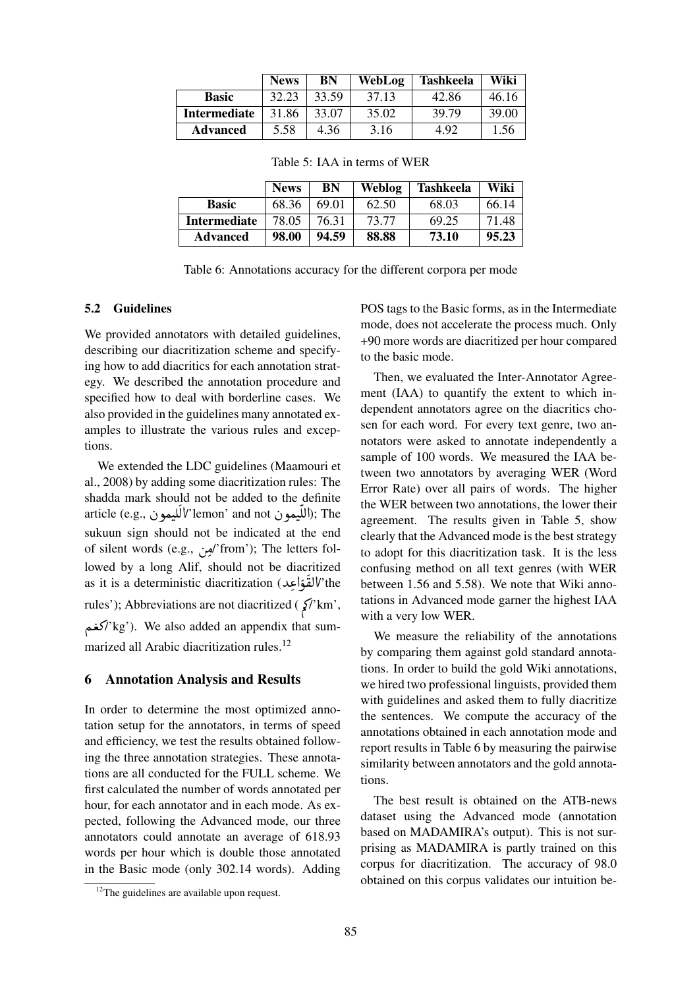|                     | <b>News</b> | BN    | WebLog | <b>Tashkeela</b> | Wiki  |
|---------------------|-------------|-------|--------|------------------|-------|
| <b>Basic</b>        | 32.23       | 33.59 | 37.13  | 42.86            | 46.16 |
| <b>Intermediate</b> | 31.86       | 33.07 | 35.02  | 39.79            | 39.00 |
| <b>Advanced</b>     | 5.58        | 4.36  | 3.16   | 4.92             | 1.56  |

Table 5: IAA in terms of WER

|                 | <b>News</b> | BN    | <b>Weblog</b> | <b>Tashkeela</b> | Wiki  |
|-----------------|-------------|-------|---------------|------------------|-------|
| <b>Basic</b>    | 68.36       | 69.01 | 62.50         | 68.03            | 66.14 |
| Intermediate    | 78.05       | 76.31 | 73.77         | 69.25            | 71.48 |
| <b>Advanced</b> | 98.00       | 94.59 | 88.88         | 73.10            | 95.23 |

Table 6: Annotations accuracy for the different corpora per mode

#### 5.2 Guidelines

We provided annotators with detailed guidelines, describing our diacritization scheme and specifying how to add diacritics for each annotation strategy. We described the annotation procedure and specified how to deal with borderline cases. We also provided in the guidelines many annotated examples to illustrate the various rules and exceptions.

We extended the LDC guidelines (Maamouri et al., 2008) by adding some diacritization rules: The shadda mark should not be added to the definite article (e.g., ٱللّيمون); The ''lemon' and not<br>أمريك المستلمل المستلمل المستلمل المستلمل  $\frac{1}{2}$ ו<br>أ .<br>آ sukuun sign should not be indicated at the end of silent words (e.g., أبو<sub>ن</sub>) from'); The letters fol- $\overline{\phantom{a}}$ lowed by a long Alif, should not be diacritized as it is a deterministic diacritization (القوّاعِد/'the<br>م |<br>|<br>| ś י<br>ג .<br>C rules'); Abbreviations are not diacritized ( $\zeta$ 'km', كغم $'$ kg'). We also added an appendix that sum-: marized all Arabic diacritization rules.<sup>12</sup>

#### 6 Annotation Analysis and Results

In order to determine the most optimized annotation setup for the annotators, in terms of speed and efficiency, we test the results obtained following the three annotation strategies. These annotations are all conducted for the FULL scheme. We first calculated the number of words annotated per hour, for each annotator and in each mode. As expected, following the Advanced mode, our three annotators could annotate an average of 618.93 words per hour which is double those annotated in the Basic mode (only 302.14 words). Adding

 $12$ The guidelines are available upon request.

POS tags to the Basic forms, as in the Intermediate mode, does not accelerate the process much. Only +90 more words are diacritized per hour compared to the basic mode.

Then, we evaluated the Inter-Annotator Agreement (IAA) to quantify the extent to which independent annotators agree on the diacritics chosen for each word. For every text genre, two annotators were asked to annotate independently a sample of 100 words. We measured the IAA between two annotators by averaging WER (Word Error Rate) over all pairs of words. The higher the WER between two annotations, the lower their agreement. The results given in Table 5, show clearly that the Advanced mode is the best strategy to adopt for this diacritization task. It is the less confusing method on all text genres (with WER between 1.56 and 5.58). We note that Wiki annotations in Advanced mode garner the highest IAA with a very low WER.

We measure the reliability of the annotations by comparing them against gold standard annotations. In order to build the gold Wiki annotations, we hired two professional linguists, provided them with guidelines and asked them to fully diacritize the sentences. We compute the accuracy of the annotations obtained in each annotation mode and report results in Table 6 by measuring the pairwise similarity between annotators and the gold annotations.

The best result is obtained on the ATB-news dataset using the Advanced mode (annotation based on MADAMIRA's output). This is not surprising as MADAMIRA is partly trained on this corpus for diacritization. The accuracy of 98.0 obtained on this corpus validates our intuition be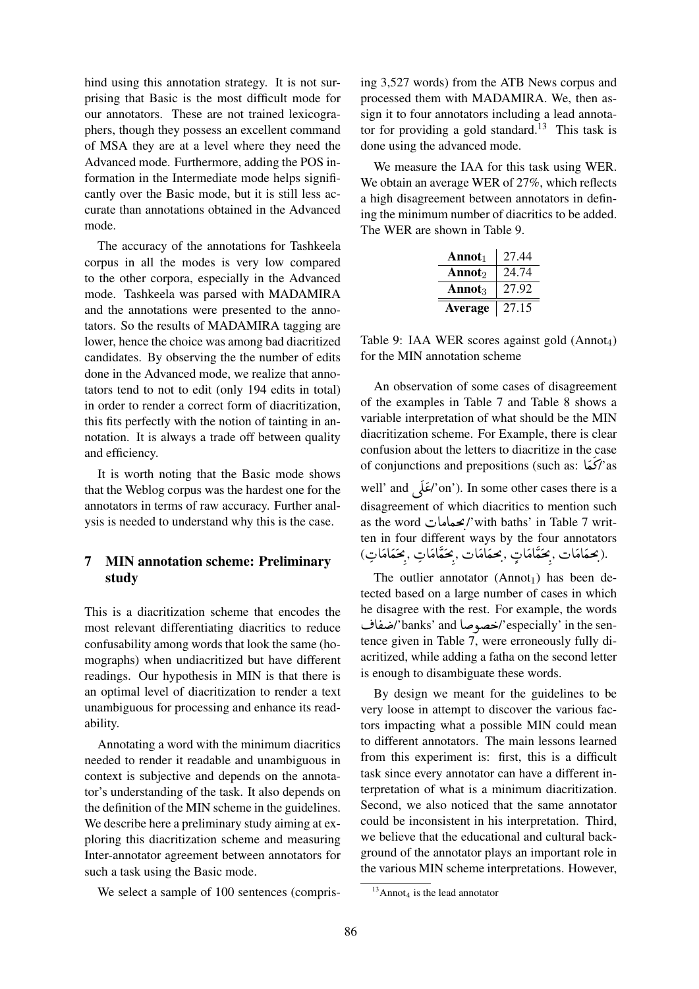hind using this annotation strategy. It is not surprising that Basic is the most difficult mode for our annotators. These are not trained lexicographers, though they possess an excellent command of MSA they are at a level where they need the Advanced mode. Furthermore, adding the POS information in the Intermediate mode helps significantly over the Basic mode, but it is still less accurate than annotations obtained in the Advanced mode.

The accuracy of the annotations for Tashkeela corpus in all the modes is very low compared to the other corpora, especially in the Advanced mode. Tashkeela was parsed with MADAMIRA and the annotations were presented to the annotators. So the results of MADAMIRA tagging are lower, hence the choice was among bad diacritized candidates. By observing the the number of edits done in the Advanced mode, we realize that annotators tend to not to edit (only 194 edits in total) in order to render a correct form of diacritization, this fits perfectly with the notion of tainting in annotation. It is always a trade off between quality and efficiency.

It is worth noting that the Basic mode shows that the Weblog corpus was the hardest one for the annotators in terms of raw accuracy. Further analysis is needed to understand why this is the case.

# 7 MIN annotation scheme: Preliminary study

This is a diacritization scheme that encodes the most relevant differentiating diacritics to reduce confusability among words that look the same (homographs) when undiacritized but have different readings. Our hypothesis in MIN is that there is an optimal level of diacritization to render a text unambiguous for processing and enhance its readability.

Annotating a word with the minimum diacritics needed to render it readable and unambiguous in context is subjective and depends on the annotator's understanding of the task. It also depends on the definition of the MIN scheme in the guidelines. We describe here a preliminary study aiming at exploring this diacritization scheme and measuring Inter-annotator agreement between annotators for such a task using the Basic mode.

We select a sample of 100 sentences (compris-

ing 3,527 words) from the ATB News corpus and processed them with MADAMIRA. We, then assign it to four annotators including a lead annotator for providing a gold standard.<sup>13</sup> This task is done using the advanced mode.

We measure the IAA for this task using WER. We obtain an average WER of 27%, which reflects a high disagreement between annotators in defining the minimum number of diacritics to be added. The WER are shown in Table 9.

| Annot <sub>1</sub>        | 27.44 |
|---------------------------|-------|
| Annot <sub>2</sub>        | 24.74 |
| <b>Annot</b> <sub>3</sub> | 27.92 |
| Average                   | 27.15 |

Table 9: IAA WER scores against gold  $(Annot<sub>4</sub>)$ for the MIN annotation scheme

An observation of some cases of disagreement of the examples in Table 7 and Table 8 shows a variable interpretation of what should be the MIN diacritization scheme. For Example, there is clear confusion about the letters to diacritize in the case of conjunctions and prepositions (such as: كمَا $\gamma$  as -<br>^  $\ddot{\phantom{0}}$ well' and نَعْلَى on'). In some other cases there is a d ĺ ś disagreement of which diacritics to mention such as the word كمعامات /'with baths' in Table 7 writ-. ten in four different ways by the four annotators esh in rour amorem ways by the rour amodue<br>(بحمَامَات ,بِحَمَّامَاتٍ ,بِحَمَّامَات ,بِحَمَّامَات ,بِحَمَامَاتِ). ;<br>∶ A  $\frac{1}{2}$  $\ddot{\cdot}$ . .<br>.<br>. ;<br>∶ A  $\frac{1}{2}$ ֦֦֦֦֦֦֦֦֦֦֦֦֦֦֦֦֦֦֦֞֘֝֝ ۔<br>ہ  $\ddot{\cdot}$ . .<br>.<br>.  $\frac{1}{2}$ .  $\overline{\phantom{a}}$ A j  $\frac{1}{2}$ .<br>د  $\overline{\phantom{a}}$ . .<br>.<br>. ; .

The outlier annotator  $(Annot<sub>1</sub>)$  has been detected based on a large number of cases in which he disagree with the rest. For example, the words he disagree with the rest. The enample, the words<br>especially' in the sen-''حصوصا especially' in the sentence given in Table 7, were erroneously fully diacritized, while adding a fatha on the second letter is enough to disambiguate these words.

By design we meant for the guidelines to be very loose in attempt to discover the various factors impacting what a possible MIN could mean to different annotators. The main lessons learned from this experiment is: first, this is a difficult task since every annotator can have a different interpretation of what is a minimum diacritization. Second, we also noticed that the same annotator could be inconsistent in his interpretation. Third, we believe that the educational and cultural background of the annotator plays an important role in the various MIN scheme interpretations. However,

 $13$ Annot<sub>4</sub> is the lead annotator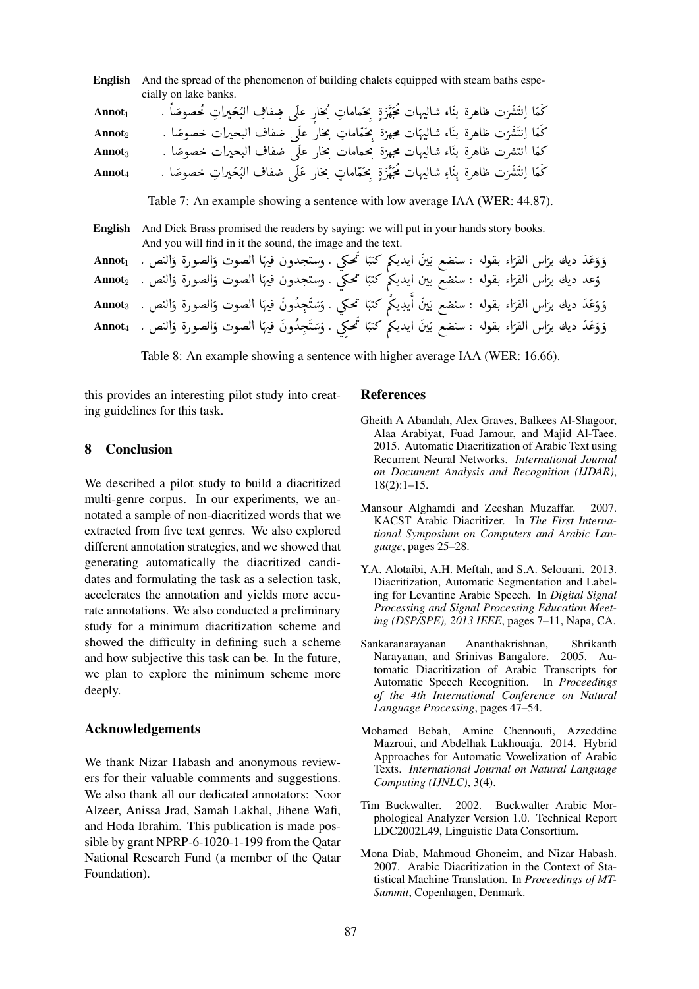| <b>English</b>     | And the spread of the phenomenon of building chalets equipped with steam baths espe-                                                                |
|--------------------|-----------------------------------------------------------------------------------------------------------------------------------------------------|
|                    | cially on lake banks.                                                                                                                               |
| Annot <sub>1</sub> | كَمَا اِنتَشَرَت ظاهرة بنَاء شاليهات مُحَهَّزَةٍ بِحَماماتِ بُخارٍ علَى ضِفافِ البُحَيراتِ خُصوصًا .                                                |
| $\text{Annot}_2$   | كَمَا اِنتَشَرَت ظاهرة بنَاء شاليهَات مجهزة بحَمّاماتِ بحارٍ علَى ضفاف البحيرات خصوصًا .                                                            |
| Annot <sub>3</sub> | كما انتشرت ظاهرة بنّاء شاليهات مجهزة بحمامات بخار علَى ضفاف البحيرات خصوصًا .                                                                       |
| $\textbf{Annot}_4$ | كَمَا اِنتَشَرَت ظاهرة بِنَاءِ شاليهات مُحَهَّزَةٍ بِحَمَّاماتٍ بِحَارٍ عَلَى ضفاف البُحَيراتِ خصوصًا .                                             |
|                    | Table 7: An example showing a sentence with low average IAA (WER: 44.87).                                                                           |
| English            | And Dick Brass promised the readers by saying: we will put in your hands story books.<br>And you will find in it the sound, the image and the text. |
| $\textbf{Annot}_1$ | وَوَعَدَ ديك برَّاس القرَاء بقوله : سنضع بَينَ ايديكم كتبَا تَحكي . وستجدون فيهَا الصوت وَالصورة وَالنص .                                           |

| وّعد ديك برّاس القرّاء بقوله : سنضع بين ايديكم كتبًا تحكي . وستجدون فيهًا الصوت وَالصورة وَالنص .  Annot $_2$               |  |  |  |  |  |
|-----------------------------------------------------------------------------------------------------------------------------|--|--|--|--|--|
| وَوَعَدَ ديك برَاس القرَاء بقوله : سنضع بَينَ أيدِيكُم كتبًا تحكي . وَسَتَجِدُونَ فيهَا الصوت وَالصورة وَالنص .  Annot $_3$ |  |  |  |  |  |
| وَوَعَدَ ديك برّاس القرّاء بقوله : سنضع بَينَ ايديكم كتبًا تُحكِي . وَسَتَجِدُونَ فيهَا الصوت وَالصورة وَالنص .  Annot $_4$ |  |  |  |  |  |

Table 8: An example showing a sentence with higher average IAA (WER: 16.66).

this provides an interesting pilot study into creating guidelines for this task.

#### $\mathbf{R}$ **Conclusion**

We described a pilot study to build a diacritized multi-genre corpus. In our experiments, we annotated a sample of non-diacritized words that we extracted from five text genres. We also explored different annotation strategies, and we showed that generating automatically the diacritized candidates and formulating the task as a selection task, accelerates the annotation and yields more accurate annotations. We also conducted a preliminary study for a minimum diacritization scheme and showed the difficulty in defining such a scheme and how subjective this task can be. In the future, we plan to explore the minimum scheme more deeply.

#### **Acknowledgements**

We thank Nizar Habash and anonymous reviewers for their valuable comments and suggestions. We also thank all our dedicated annotators: Noor Alzeer, Anissa Jrad, Samah Lakhal, Jihene Wafi, and Hoda Ibrahim. This publication is made possible by grant NPRP-6-1020-1-199 from the Oatar National Research Fund (a member of the Oatar Foundation).

#### **References**

- Gheith A Abandah, Alex Graves, Balkees Al-Shagoor, Alaa Arabiyat, Fuad Jamour, and Majid Al-Taee. 2015. Automatic Diacritization of Arabic Text using Recurrent Neural Networks. International Journal on Document Analysis and Recognition (IJDAR).  $18(2):1-15.$
- Mansour Alghamdi and Zeeshan Muzaffar. 2007. KACST Arabic Diacritizer. In The First International Symposium on Computers and Arabic Language, pages 25-28.
- Y.A. Alotaibi, A.H. Meftah, and S.A. Selouani. 2013. Diacritization, Automatic Segmentation and Labeling for Levantine Arabic Speech. In Digital Signal Processing and Signal Processing Education Meeting (DSP/SPE), 2013 IEEE, pages 7-11, Napa, CA.
- Ananthakrishnan, Sankaranarayanan Shrikanth Narayanan, and Srinivas Bangalore. 2005. Automatic Diacritization of Arabic Transcripts for Automatic Speech Recognition. In Proceedings of the 4th International Conference on Natural Language Processing, pages 47-54.
- Mohamed Bebah, Amine Chennoufi, Azzeddine Mazroui, and Abdelhak Lakhouaja. 2014. Hybrid Approaches for Automatic Vowelization of Arabic Texts. International Journal on Natural Language Computing (IJNLC), 3(4).
- Tim Buckwalter. 2002. Buckwalter Arabic Morphological Analyzer Version 1.0. Technical Report LDC2002L49, Linguistic Data Consortium.
- Mona Diab, Mahmoud Ghoneim, and Nizar Habash. 2007. Arabic Diacritization in the Context of Statistical Machine Translation. In Proceedings of MT-Summit, Copenhagen, Denmark.